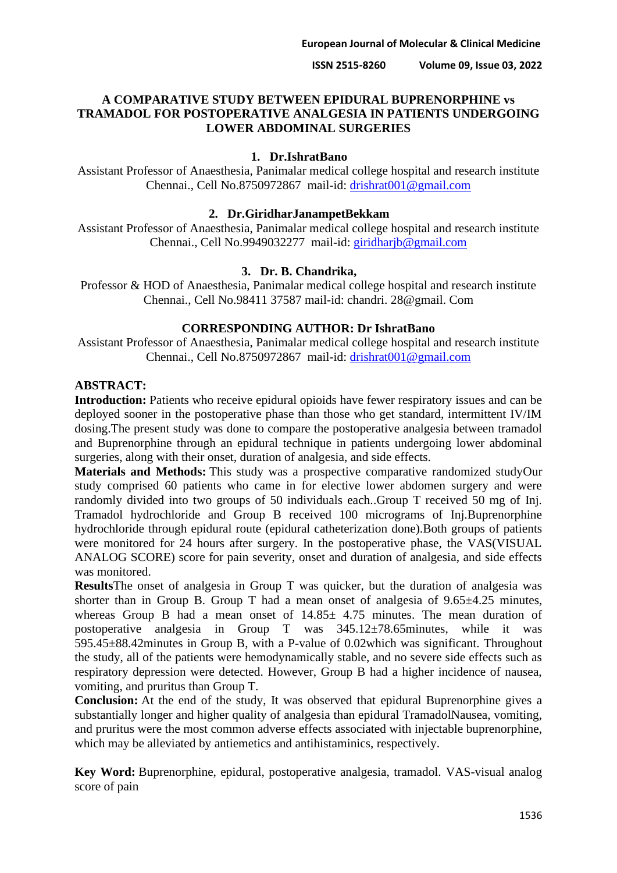**ISSN 2515-8260 Volume 09, Issue 03, 2022**

## **A COMPARATIVE STUDY BETWEEN EPIDURAL BUPRENORPHINE vs TRAMADOL FOR POSTOPERATIVE ANALGESIA IN PATIENTS UNDERGOING LOWER ABDOMINAL SURGERIES**

### **1. Dr.IshratBano**

Assistant Professor of Anaesthesia, Panimalar medical college hospital and research institute Chennai., Cell No.8750972867 mail-id: [drishrat001@gmail.com](mailto:drishrat001@gmail.com)

### **2. Dr.GiridharJanampetBekkam**

Assistant Professor of Anaesthesia, Panimalar medical college hospital and research institute Chennai., Cell No.9949032277 mail-id: [giridharjb@gmail.com](mailto:giridharjb@gmail.com)

### **3. Dr. B. Chandrika,**

Professor & HOD of Anaesthesia, Panimalar medical college hospital and research institute Chennai., Cell No.98411 37587 mail-id: chandri. 28@gmail. Com

### **CORRESPONDING AUTHOR: Dr IshratBano**

Assistant Professor of Anaesthesia, Panimalar medical college hospital and research institute Chennai., Cell No.8750972867 mail-id: [drishrat001@gmail.com](mailto:drishrat001@gmail.com)

## **ABSTRACT:**

**Introduction:** Patients who receive epidural opioids have fewer respiratory issues and can be deployed sooner in the postoperative phase than those who get standard, intermittent IV/IM dosing.The present study was done to compare the postoperative analgesia between tramadol and Buprenorphine through an epidural technique in patients undergoing lower abdominal surgeries, along with their onset, duration of analgesia, and side effects.

**Materials and Methods:** This study was a prospective comparative randomized studyOur study comprised 60 patients who came in for elective lower abdomen surgery and were randomly divided into two groups of 50 individuals each..Group T received 50 mg of Inj. Tramadol hydrochloride and Group B received 100 micrograms of Inj.Buprenorphine hydrochloride through epidural route (epidural catheterization done).Both groups of patients were monitored for 24 hours after surgery. In the postoperative phase, the VAS(VISUAL ANALOG SCORE) score for pain severity, onset and duration of analgesia, and side effects was monitored.

**Results**The onset of analgesia in Group T was quicker, but the duration of analgesia was shorter than in Group B. Group T had a mean onset of analgesia of  $9.65\pm4.25$  minutes, whereas Group B had a mean onset of  $14.85 \pm 4.75$  minutes. The mean duration of postoperative analgesia in Group T was 345.12±78.65minutes, while it was 595.45±88.42minutes in Group B, with a P-value of 0.02which was significant. Throughout the study, all of the patients were hemodynamically stable, and no severe side effects such as respiratory depression were detected. However, Group B had a higher incidence of nausea, vomiting, and pruritus than Group T.

**Conclusion:** At the end of the study, It was observed that epidural Buprenorphine gives a substantially longer and higher quality of analgesia than epidural TramadolNausea, vomiting, and pruritus were the most common adverse effects associated with injectable buprenorphine, which may be alleviated by antiemetics and antihistaminics, respectively.

**Key Word:** Buprenorphine, epidural, postoperative analgesia, tramadol. VAS-visual analog score of pain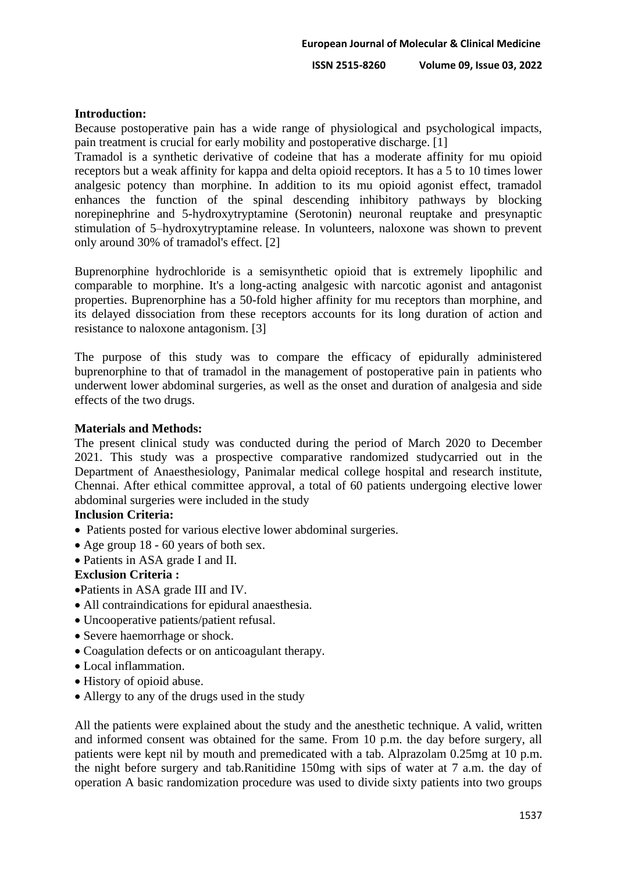# **Introduction:**

Because postoperative pain has a wide range of physiological and psychological impacts, pain treatment is crucial for early mobility and postoperative discharge. [1]

Tramadol is a synthetic derivative of codeine that has a moderate affinity for mu opioid receptors but a weak affinity for kappa and delta opioid receptors. It has a 5 to 10 times lower analgesic potency than morphine. In addition to its mu opioid agonist effect, tramadol enhances the function of the spinal descending inhibitory pathways by blocking norepinephrine and 5-hydroxytryptamine (Serotonin) neuronal reuptake and presynaptic stimulation of 5–hydroxytryptamine release. In volunteers, naloxone was shown to prevent only around 30% of tramadol's effect. [2]

Buprenorphine hydrochloride is a semisynthetic opioid that is extremely lipophilic and comparable to morphine. It's a long-acting analgesic with narcotic agonist and antagonist properties. Buprenorphine has a 50-fold higher affinity for mu receptors than morphine, and its delayed dissociation from these receptors accounts for its long duration of action and resistance to naloxone antagonism. [3]

The purpose of this study was to compare the efficacy of epidurally administered buprenorphine to that of tramadol in the management of postoperative pain in patients who underwent lower abdominal surgeries, as well as the onset and duration of analgesia and side effects of the two drugs.

## **Materials and Methods:**

The present clinical study was conducted during the period of March 2020 to December 2021. This study was a prospective comparative randomized studycarried out in the Department of Anaesthesiology, Panimalar medical college hospital and research institute, Chennai. After ethical committee approval, a total of 60 patients undergoing elective lower abdominal surgeries were included in the study

## **Inclusion Criteria:**

- Patients posted for various elective lower abdominal surgeries.
- Age group 18 60 years of both sex.
- Patients in ASA grade I and II.

# **Exclusion Criteria :**

•Patients in ASA grade III and IV.

- All contraindications for epidural anaesthesia.
- Uncooperative patients/patient refusal.
- Severe haemorrhage or shock.
- Coagulation defects or on anticoagulant therapy.
- Local inflammation.
- History of opioid abuse.
- Allergy to any of the drugs used in the study

All the patients were explained about the study and the anesthetic technique. A valid, written and informed consent was obtained for the same. From 10 p.m. the day before surgery, all patients were kept nil by mouth and premedicated with a tab. Alprazolam 0.25mg at 10 p.m. the night before surgery and tab.Ranitidine 150mg with sips of water at 7 a.m. the day of operation A basic randomization procedure was used to divide sixty patients into two groups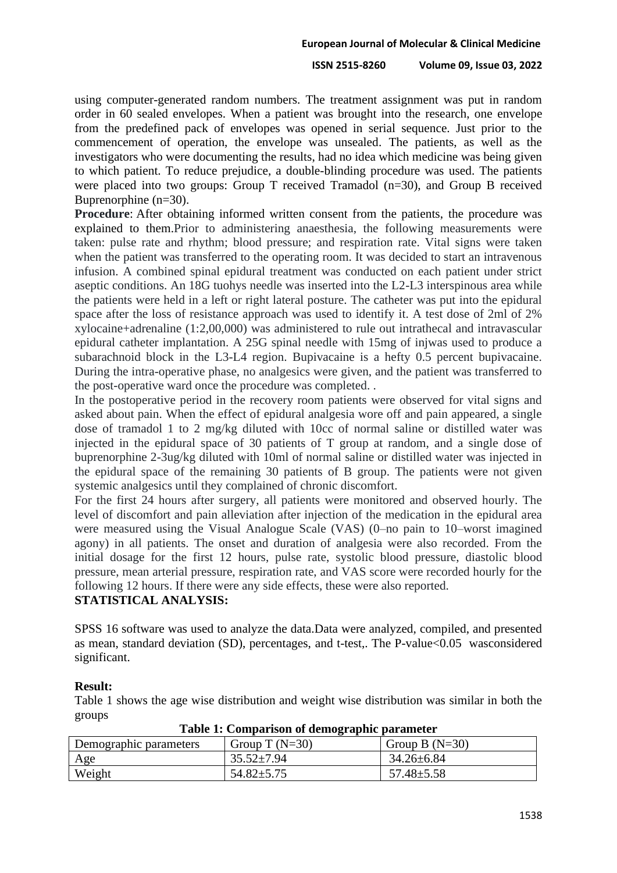#### **ISSN 2515-8260 Volume 09, Issue 03, 2022**

using computer-generated random numbers. The treatment assignment was put in random order in 60 sealed envelopes. When a patient was brought into the research, one envelope from the predefined pack of envelopes was opened in serial sequence. Just prior to the commencement of operation, the envelope was unsealed. The patients, as well as the investigators who were documenting the results, had no idea which medicine was being given to which patient. To reduce prejudice, a double-blinding procedure was used. The patients were placed into two groups: Group T received Tramadol (n=30), and Group B received Buprenorphine (n=30).

**Procedure**: After obtaining informed written consent from the patients, the procedure was explained to them.Prior to administering anaesthesia, the following measurements were taken: pulse rate and rhythm; blood pressure; and respiration rate. Vital signs were taken when the patient was transferred to the operating room. It was decided to start an intravenous infusion. A combined spinal epidural treatment was conducted on each patient under strict aseptic conditions. An 18G tuohys needle was inserted into the L2-L3 interspinous area while the patients were held in a left or right lateral posture. The catheter was put into the epidural space after the loss of resistance approach was used to identify it. A test dose of 2ml of 2% xylocaine+adrenaline (1:2,00,000) was administered to rule out intrathecal and intravascular epidural catheter implantation. A 25G spinal needle with 15mg of injwas used to produce a subarachnoid block in the L3-L4 region. Bupivacaine is a hefty 0.5 percent bupivacaine. During the intra-operative phase, no analgesics were given, and the patient was transferred to the post-operative ward once the procedure was completed. .

In the postoperative period in the recovery room patients were observed for vital signs and asked about pain. When the effect of epidural analgesia wore off and pain appeared, a single dose of tramadol 1 to 2 mg/kg diluted with 10cc of normal saline or distilled water was injected in the epidural space of 30 patients of T group at random, and a single dose of buprenorphine 2-3ug/kg diluted with 10ml of normal saline or distilled water was injected in the epidural space of the remaining 30 patients of B group. The patients were not given systemic analgesics until they complained of chronic discomfort.

For the first 24 hours after surgery, all patients were monitored and observed hourly. The level of discomfort and pain alleviation after injection of the medication in the epidural area were measured using the Visual Analogue Scale (VAS) (0–no pain to 10–worst imagined agony) in all patients. The onset and duration of analgesia were also recorded. From the initial dosage for the first 12 hours, pulse rate, systolic blood pressure, diastolic blood pressure, mean arterial pressure, respiration rate, and VAS score were recorded hourly for the following 12 hours. If there were any side effects, these were also reported.

### **STATISTICAL ANALYSIS:**

SPSS 16 software was used to analyze the data.Data were analyzed, compiled, and presented as mean, standard deviation (SD), percentages, and t-test,. The P-value<0.05 wasconsidered significant.

### **Result:**

Table 1 shows the age wise distribution and weight wise distribution was similar in both the groups

| Demographic parameters | Group T $(N=30)$ | Group B $(N=30)$ |
|------------------------|------------------|------------------|
| <u>Age</u>             | $35.52 \pm 7.94$ | 34.26±6.84       |
| Weight                 | $54.82 \pm 5.75$ | $57.48 \pm 5.58$ |

### **Table 1: Comparison of demographic parameter**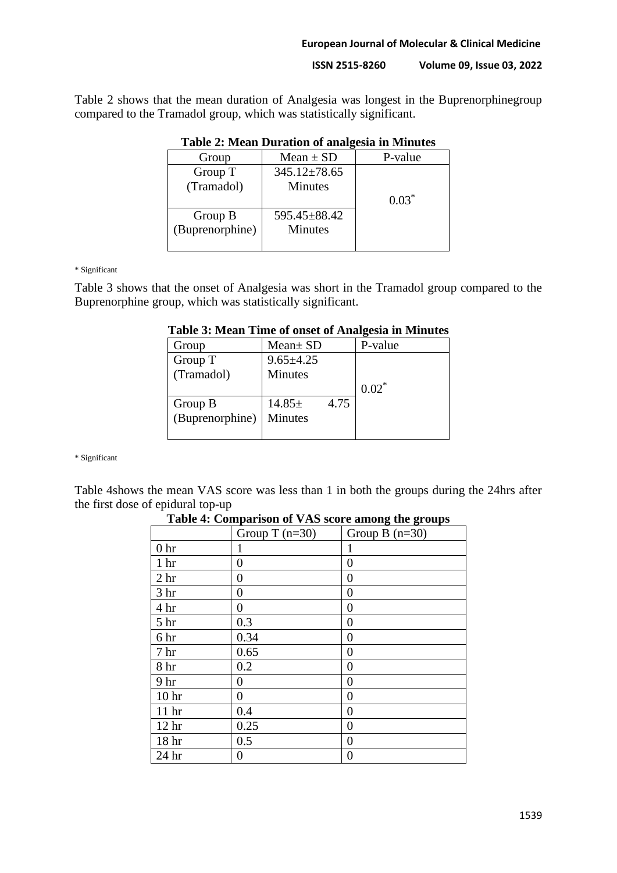#### **European Journal of Molecular & Clinical Medicine**

**ISSN 2515-8260 Volume 09, Issue 03, 2022**

Table 2 shows that the mean duration of Analgesia was longest in the Buprenorphinegroup compared to the Tramadol group, which was statistically significant.

| Group           | $Mean \pm SD$ | P-value |
|-----------------|---------------|---------|
| Group T         | 345.12±78.65  |         |
| (Tramadol)      | Minutes       |         |
|                 |               | $0.03*$ |
| Group B         | 595.45±88.42  |         |
| (Buprenorphine) | Minutes       |         |
|                 |               |         |

## **Table 2: Mean Duration of analgesia in Minutes**

\* Significant

Table 3 shows that the onset of Analgesia was short in the Tramadol group compared to the Buprenorphine group, which was statistically significant.

| Table 3: Mean Time of onset of Analgesia in Minutes |  |  |  |  |  |  |  |  |
|-----------------------------------------------------|--|--|--|--|--|--|--|--|
|-----------------------------------------------------|--|--|--|--|--|--|--|--|

| Group           | $Mean \pm SD$   |      | P-value |
|-----------------|-----------------|------|---------|
| Group T         | $9.65 \pm 4.25$ |      |         |
| (Tramadol)      | <b>Minutes</b>  |      |         |
|                 |                 |      | $0.02*$ |
| Group B         | $14.85\pm$      | 4.75 |         |
| (Buprenorphine) | <b>Minutes</b>  |      |         |
|                 |                 |      |         |

\* Significant

 $\overline{a}$ 

Table 4shows the mean VAS score was less than 1 in both the groups during the 24hrs after the first dose of epidural top-up

|                  | Group T $(n=30)$ | Group B $(n=30)$ |
|------------------|------------------|------------------|
| 0 <sub>hr</sub>  | 1                | 1                |
| 1 <sub>hr</sub>  | $\overline{0}$   | 0                |
| 2 <sub>hr</sub>  | $\boldsymbol{0}$ | 0                |
| 3 <sub>hr</sub>  | $\boldsymbol{0}$ | $\theta$         |
| 4 hr             | 0                | $\theta$         |
| 5 <sub>hr</sub>  | 0.3              | $\overline{0}$   |
| 6 hr             | 0.34             | 0                |
| 7 <sub>hr</sub>  | 0.65             | $\overline{0}$   |
| 8 hr             | 0.2              | $\overline{0}$   |
| 9 <sub>hr</sub>  | 0                | 0                |
| 10 <sub>hr</sub> | $\boldsymbol{0}$ | $\theta$         |
| 11 <sup>hr</sup> | 0.4              | $\theta$         |
| 12 <sub>hr</sub> | 0.25             | 0                |
| 18 <sup>hr</sup> | 0.5              | $\theta$         |
| 24 hr            | 0                | 0                |

**Table 4: Comparison of VAS score among the groups**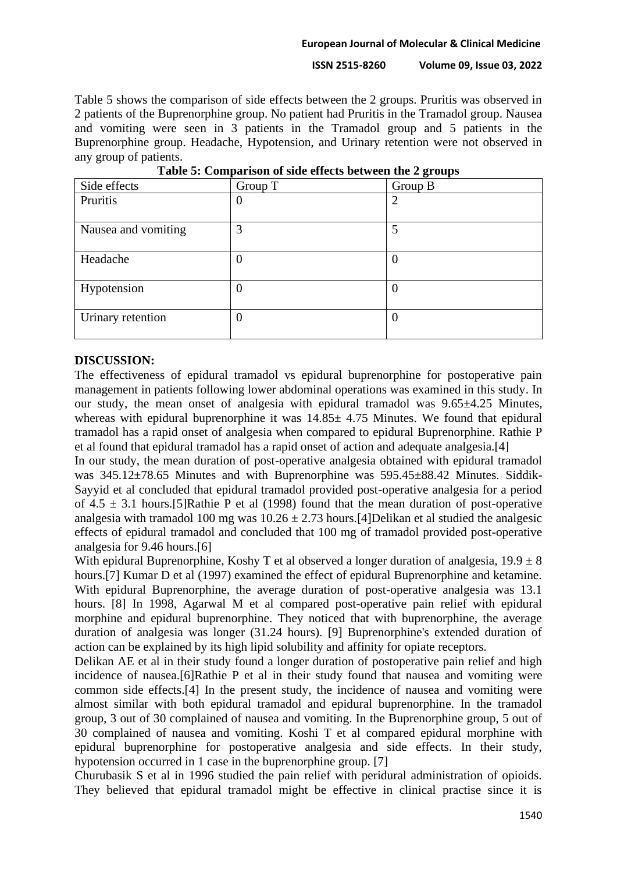#### **European Journal of Molecular & Clinical Medicine**

**ISSN 2515-8260 Volume 09, Issue 03, 2022**

Table 5 shows the comparison of side effects between the 2 groups. Pruritis was observed in 2 patients of the Buprenorphine group. No patient had Pruritis in the Tramadol group. Nausea and vomiting were seen in 3 patients in the Tramadol group and 5 patients in the Buprenorphine group. Headache, Hypotension, and Urinary retention were not observed in any group of patients.

|                     |                  | ີ        |
|---------------------|------------------|----------|
| Side effects        | Group T          | Group B  |
| Pruritis            | O                | 2        |
| Nausea and vomiting | 3                | 5        |
| Headache            | $\boldsymbol{0}$ | $\theta$ |
| Hypotension         | $\theta$         |          |
| Urinary retention   | $\boldsymbol{0}$ | $\theta$ |

**Table 5: Comparison of side effects between the 2 groups**

## **DISCUSSION:**

The effectiveness of epidural tramadol vs epidural buprenorphine for postoperative pain management in patients following lower abdominal operations was examined in this study. In our study, the mean onset of analgesia with epidural tramadol was 9.65±4.25 Minutes, whereas with epidural buprenorphine it was  $14.85 \pm 4.75$  Minutes. We found that epidural tramadol has a rapid onset of analgesia when compared to epidural Buprenorphine. Rathie P et al found that epidural tramadol has a rapid onset of action and adequate analgesia.[4]

In our study, the mean duration of post-operative analgesia obtained with epidural tramadol was 345.12±78.65 Minutes and with Buprenorphine was 595.45±88.42 Minutes. Siddik-Sayyid et al concluded that epidural tramadol provided post-operative analgesia for a period of  $4.5 \pm 3.1$  hours. [5] Rathie P et al (1998) found that the mean duration of post-operative analgesia with tramadol 100 mg was  $10.26 \pm 2.73$  hours. [4] Delikan et al studied the analgesic effects of epidural tramadol and concluded that 100 mg of tramadol provided post-operative analgesia for 9.46 hours.[6]

With epidural Buprenorphine, Koshy T et al observed a longer duration of analgesia,  $19.9 \pm 8$ hours.[7] Kumar D et al (1997) examined the effect of epidural Buprenorphine and ketamine. With epidural Buprenorphine, the average duration of post-operative analgesia was 13.1 hours. [8] In 1998, Agarwal M et al compared post-operative pain relief with epidural morphine and epidural buprenorphine. They noticed that with buprenorphine, the average duration of analgesia was longer (31.24 hours). [9] Buprenorphine's extended duration of action can be explained by its high lipid solubility and affinity for opiate receptors.

Delikan AE et al in their study found a longer duration of postoperative pain relief and high incidence of nausea.[6]Rathie P et al in their study found that nausea and vomiting were common side effects.[4] In the present study, the incidence of nausea and vomiting were almost similar with both epidural tramadol and epidural buprenorphine. In the tramadol group, 3 out of 30 complained of nausea and vomiting. In the Buprenorphine group, 5 out of 30 complained of nausea and vomiting. Koshi T et al compared epidural morphine with epidural buprenorphine for postoperative analgesia and side effects. In their study, hypotension occurred in 1 case in the buprenorphine group. [7]

Churubasik S et al in 1996 studied the pain relief with peridural administration of opioids. They believed that epidural tramadol might be effective in clinical practise since it is